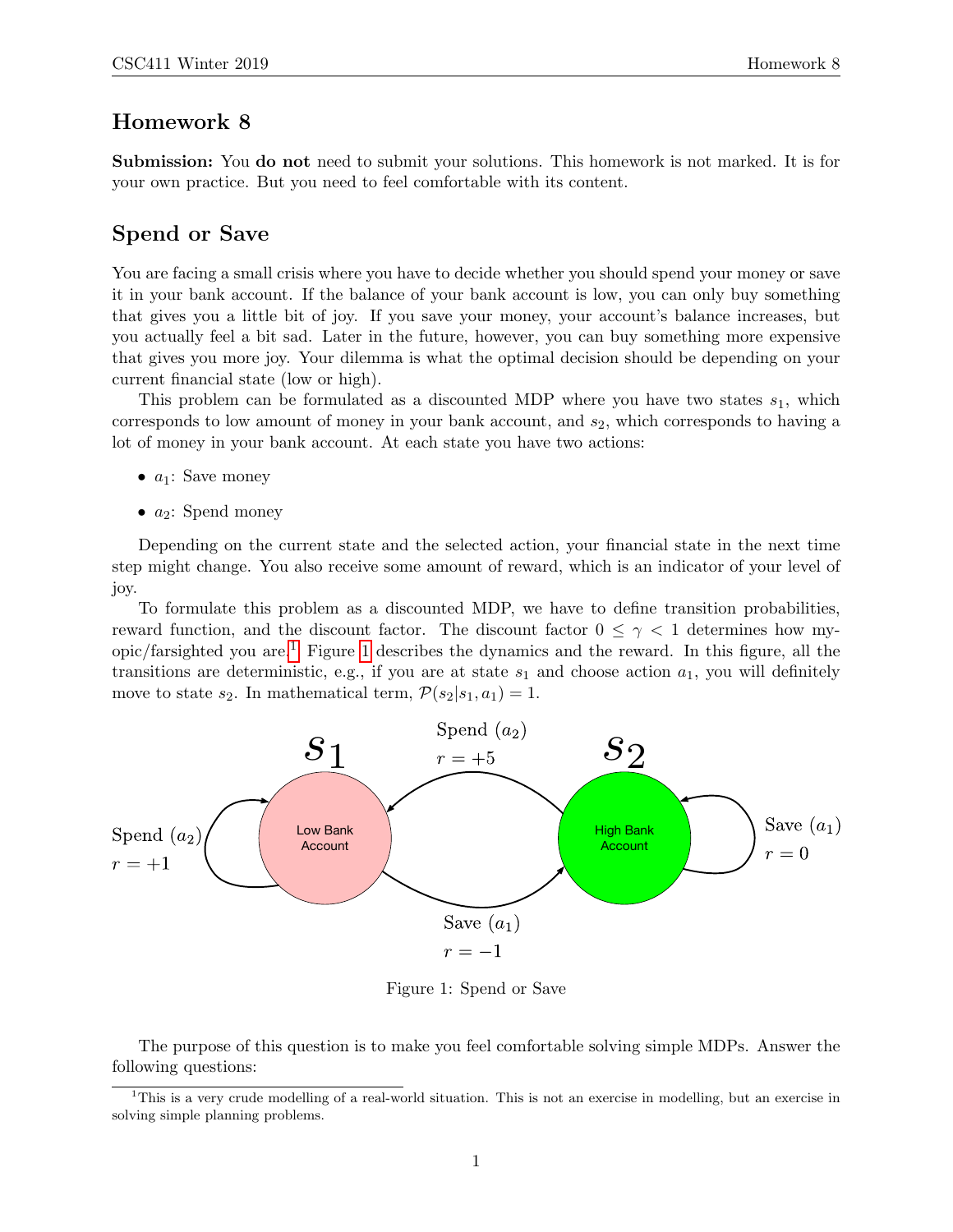## Homework 8

Submission: You do not need to submit your solutions. This homework is not marked. It is for your own practice. But you need to feel comfortable with its content.

## Spend or Save

You are facing a small crisis where you have to decide whether you should spend your money or save it in your bank account. If the balance of your bank account is low, you can only buy something that gives you a little bit of joy. If you save your money, your account's balance increases, but you actually feel a bit sad. Later in the future, however, you can buy something more expensive that gives you more joy. Your dilemma is what the optimal decision should be depending on your current financial state (low or high).

This problem can be formulated as a discounted MDP where you have two states  $s_1$ , which corresponds to low amount of money in your bank account, and  $s_2$ , which corresponds to having a lot of money in your bank account. At each state you have two actions:

- $a_1$ : Save money
- $a_2$ : Spend money

Depending on the current state and the selected action, your financial state in the next time step might change. You also receive some amount of reward, which is an indicator of your level of joy.

To formulate this problem as a discounted MDP, we have to define transition probabilities, reward function, and the discount factor. The discount factor  $0 \leq \gamma < 1$  determines how my-opic/farsighted you are.<sup>[1](#page-0-0)</sup> Figure [1](#page-0-1) describes the dynamics and the reward. In this figure, all the transitions are deterministic, e.g., if you are at state  $s_1$  and choose action  $a_1$ , you will definitely move to state  $s_2$ . In mathematical term,  $\mathcal{P}(s_2|s_1, a_1) = 1$ .



<span id="page-0-1"></span>Figure 1: Spend or Save

The purpose of this question is to make you feel comfortable solving simple MDPs. Answer the following questions:

<span id="page-0-0"></span><sup>&</sup>lt;sup>1</sup>This is a very crude modelling of a real-world situation. This is not an exercise in modelling, but an exercise in solving simple planning problems.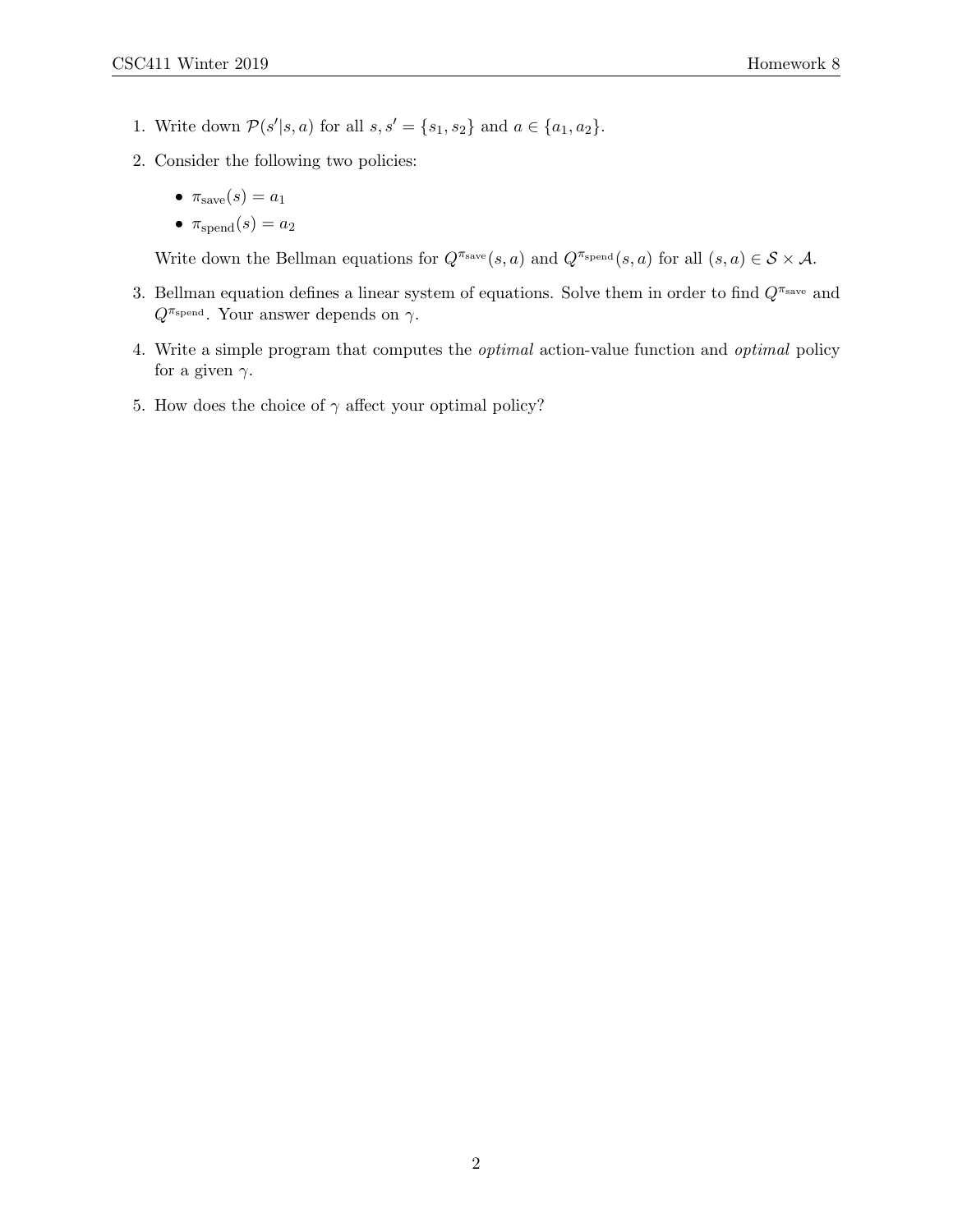- 1. Write down  $\mathcal{P}(s'|s, a)$  for all  $s, s' = \{s_1, s_2\}$  and  $a \in \{a_1, a_2\}$ .
- 2. Consider the following two policies:
	- $\pi_{\text{save}}(s) = a_1$
	- $\pi_{\text{spend}}(s) = a_2$

Write down the Bellman equations for  $Q^{\pi_{\text{save}}}(s, a)$  and  $Q^{\pi_{\text{spend}}}(s, a)$  for all  $(s, a) \in S \times A$ .

- 3. Bellman equation defines a linear system of equations. Solve them in order to find  $Q^{\pi_{\text{save}}}$  and  $Q^{\pi_{\text{spend}}}$ . Your answer depends on  $\gamma$ .
- 4. Write a simple program that computes the optimal action-value function and optimal policy for a given  $\gamma$ .
- 5. How does the choice of  $\gamma$  affect your optimal policy?